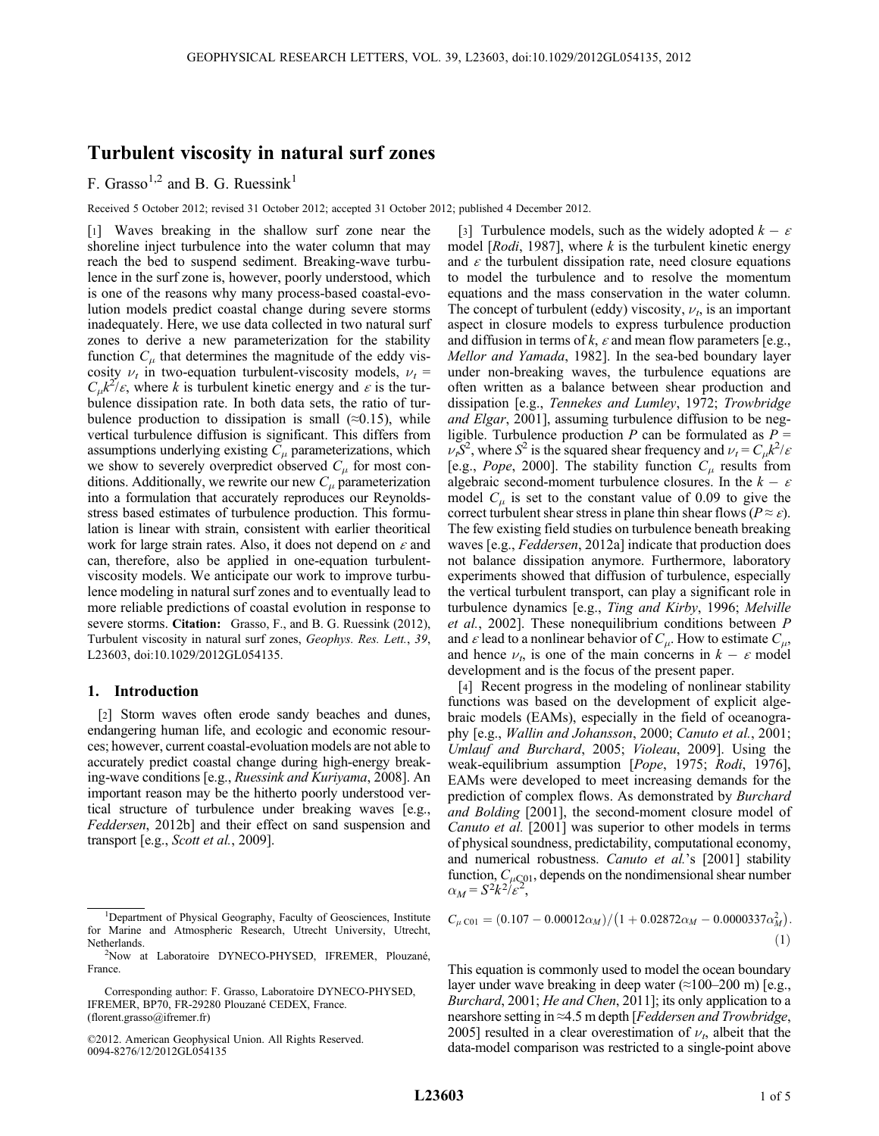# Turbulent viscosity in natural surf zones

## F. Grasso<sup>1,2</sup> and B. G. Ruessink<sup>1</sup>

Received 5 October 2012; revised 31 October 2012; accepted 31 October 2012; published 4 December 2012.

[1] Waves breaking in the shallow surf zone near the shoreline inject turbulence into the water column that may reach the bed to suspend sediment. Breaking-wave turbulence in the surf zone is, however, poorly understood, which is one of the reasons why many process-based coastal-evolution models predict coastal change during severe storms inadequately. Here, we use data collected in two natural surf zones to derive a new parameterization for the stability function  $C_{\mu}$  that determines the magnitude of the eddy viscosity  $\nu_t$  in two-equation turbulent-viscosity models,  $\nu_t$  =  $C_{\mu}k^2/\varepsilon$ , where k is turbulent kinetic energy and  $\varepsilon$  is the tur-<br>bulence dissination rate. In both data sets, the ratio of turbulence dissipation rate. In both data sets, the ratio of turbulence production to dissipation is small  $(\approx 0.15)$ , while vertical turbulence diffusion is significant. This differs from assumptions underlying existing  $C_{\mu}$  parameterizations, which we show to severely overpredict observed  $C_u$  for most conditions. Additionally, we rewrite our new  $C_{\mu}$  parameterization into a formulation that accurately reproduces our Reynoldsstress based estimates of turbulence production. This formulation is linear with strain, consistent with earlier theoritical work for large strain rates. Also, it does not depend on  $\varepsilon$  and can, therefore, also be applied in one-equation turbulentviscosity models. We anticipate our work to improve turbulence modeling in natural surf zones and to eventually lead to more reliable predictions of coastal evolution in response to severe storms. Citation: Grasso, F., and B. G. Ruessink (2012), Turbulent viscosity in natural surf zones, Geophys. Res. Lett., 39, L23603, doi:10.1029/2012GL054135.

#### 1. Introduction

[2] Storm waves often erode sandy beaches and dunes, endangering human life, and ecologic and economic resources; however, current coastal-evoluation models are not able to accurately predict coastal change during high-energy breaking-wave conditions [e.g., Ruessink and Kuriyama, 2008]. An important reason may be the hitherto poorly understood vertical structure of turbulence under breaking waves [e.g., Feddersen, 2012b] and their effect on sand suspension and transport  $[e.g., *Scott et al.*, 2009].$ 

[3] Turbulence models, such as the widely adopted  $k - \varepsilon$ model [ $Rodi$ , 1987], where k is the turbulent kinetic energy and  $\varepsilon$  the turbulent dissipation rate, need closure equations to model the turbulence and to resolve the momentum equations and the mass conservation in the water column. The concept of turbulent (eddy) viscosity,  $\nu_t$ , is an important aspect in closure models to express turbulence production and diffusion in terms of k,  $\varepsilon$  and mean flow parameters [e.g., Mellor and Yamada, 1982]. In the sea-bed boundary layer under non-breaking waves, the turbulence equations are often written as a balance between shear production and dissipation [e.g., Tennekes and Lumley, 1972; Trowbridge and Elgar, 2001], assuming turbulence diffusion to be negligible. Turbulence production P can be formulated as  $P =$  $\nu_{\mu}S^2$ , where  $S^2$  is the squared shear frequency and  $\nu_t = C_{\mu}k^2/\varepsilon$ <br>Le g *Pone* 20001 The stability function C results from [e.g., *Pope*, 2000]. The stability function  $C_u$  results from algebraic second-moment turbulence closures. In the  $k - \varepsilon$ model  $C_{\mu}$  is set to the constant value of 0.09 to give the correct turbulent shear stress in plane thin shear flows ( $P \approx \varepsilon$ ). The few existing field studies on turbulence beneath breaking waves [e.g., Feddersen, 2012a] indicate that production does not balance dissipation anymore. Furthermore, laboratory experiments showed that diffusion of turbulence, especially the vertical turbulent transport, can play a significant role in turbulence dynamics [e.g., Ting and Kirby, 1996; Melville et al., 2002]. These nonequilibrium conditions between P and  $\varepsilon$  lead to a nonlinear behavior of  $C_\mu$ . How to estimate  $C_\mu$ , and hence  $\nu_t$ , is one of the main concerns in  $k - \varepsilon$  model development and is the focus of the present paper.

[4] Recent progress in the modeling of nonlinear stability functions was based on the development of explicit algebraic models (EAMs), especially in the field of oceanography [e.g., Wallin and Johansson, 2000; Canuto et al., 2001; Umlauf and Burchard, 2005; Violeau, 2009]. Using the weak-equilibrium assumption [Pope, 1975; Rodi, 1976], EAMs were developed to meet increasing demands for the prediction of complex flows. As demonstrated by Burchard and Bolding [2001], the second-moment closure model of Canuto et al. [2001] was superior to other models in terms of physical soundness, predictability, computational economy, and numerical robustness. Canuto et al.'s [2001] stability function,  $C_{\mu\text{Q01}}$ , depends on the nondimensional shear number  $\alpha_M = S^2 k^2 / \varepsilon^2,$ 

$$
C_{\mu\text{ C01}} = (0.107 - 0.00012\alpha_M)/(1 + 0.02872\alpha_M - 0.0000337\alpha_M^2).
$$
\n(1)

This equation is commonly used to model the ocean boundary layer under wave breaking in deep water (≈100–200 m) [e.g., Burchard, 2001; He and Chen, 2011]; its only application to a nearshore setting in ≈4.5 m depth [Feddersen and Trowbridge, 2005] resulted in a clear overestimation of  $\nu<sub>t</sub>$ , albeit that the data-model comparison was restricted to a single-point above

<sup>&</sup>lt;sup>1</sup>Department of Physical Geography, Faculty of Geosciences, Institute for Marine and Atmospheric Research, Utrecht University, Utrecht, Netherlands. <sup>2</sup>

<sup>&</sup>lt;sup>2</sup>Now at Laboratoire DYNECO-PHYSED, IFREMER, Plouzané, France.

Corresponding author: F. Grasso, Laboratoire DYNECO-PHYSED, IFREMER, BP70, FR-29280 Plouzané CEDEX, France. (florent.grasso@ifremer.fr)

<sup>©2012.</sup> American Geophysical Union. All Rights Reserved. 0094-8276/12/2012GL054135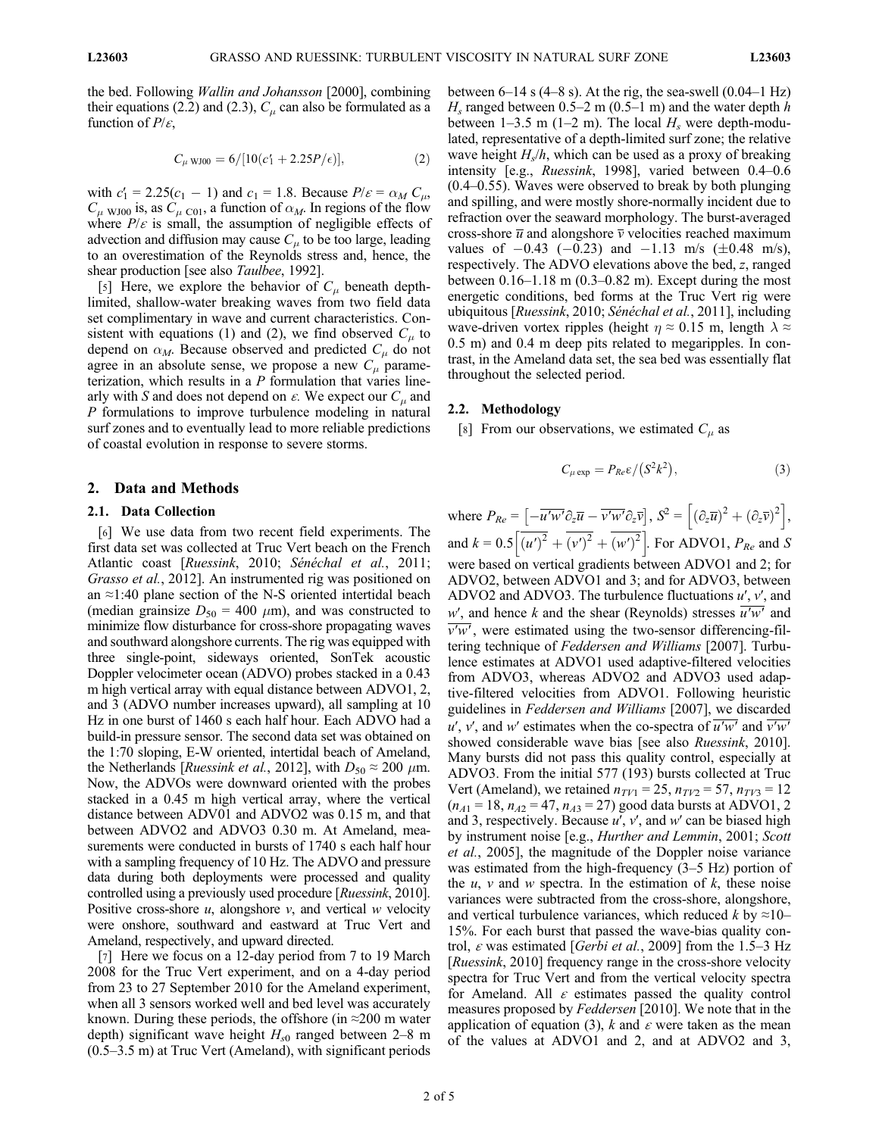the bed. Following Wallin and Johansson [2000], combining their equations (2.2) and (2.3),  $C_\mu$  can also be formulated as a function of  $P/\varepsilon$ ,

$$
C_{\mu \text{ WJ00}} = 6/[10(c_1' + 2.25P/\epsilon)], \qquad (2)
$$

with  $c'_1 = 2.25(c_1 - 1)$  and  $c_1 = 1.8$ . Because  $P/\varepsilon = \alpha_M C_\mu$ ,<br>C, we is as C, so a function of  $\alpha_M$ . In regions of the flow  $C_{\mu \text{ WJ00}}$  is, as  $C_{\mu \text{ CO1}}$ , a function of  $\alpha_M$ . In regions of the flow where  $P/\varepsilon$  is small, the assumption of negligible effects of advection and diffusion may cause  $C_{\mu}$  to be too large, leading to an overestimation of the Reynolds stress and, hence, the shear production [see also *Taulbee*, 1992].

[5] Here, we explore the behavior of  $C_u$  beneath depthlimited, shallow-water breaking waves from two field data set complimentary in wave and current characteristics. Consistent with equations (1) and (2), we find observed  $C_\mu$  to depend on  $\alpha_M$ . Because observed and predicted  $C_\mu$  do not agree in an absolute sense, we propose a new  $C_{\mu}$  parameterization, which results in a  $P$  formulation that varies linearly with S and does not depend on  $\varepsilon$ . We expect our  $C_u$  and P formulations to improve turbulence modeling in natural surf zones and to eventually lead to more reliable predictions of coastal evolution in response to severe storms.

#### 2. Data and Methods

## 2.1. Data Collection

[6] We use data from two recent field experiments. The first data set was collected at Truc Vert beach on the French Atlantic coast [Ruessink, 2010; Sénéchal et al., 2011; Grasso et al., 2012]. An instrumented rig was positioned on an ≈1:40 plane section of the N-S oriented intertidal beach (median grainsize  $D_{50} = 400 \mu m$ ), and was constructed to minimize flow disturbance for cross-shore propagating waves and southward alongshore currents. The rig was equipped with three single-point, sideways oriented, SonTek acoustic Doppler velocimeter ocean (ADVO) probes stacked in a 0.43 m high vertical array with equal distance between ADVO1, 2, and 3 (ADVO number increases upward), all sampling at 10 Hz in one burst of 1460 s each half hour. Each ADVO had a build-in pressure sensor. The second data set was obtained on the 1:70 sloping, E-W oriented, intertidal beach of Ameland, the Netherlands [*Ruessink et al.*, 2012], with  $D_{50} \approx 200 \mu m$ . Now, the ADVOs were downward oriented with the probes stacked in a 0.45 m high vertical array, where the vertical distance between ADV01 and ADVO2 was 0.15 m, and that between ADVO2 and ADVO3 0.30 m. At Ameland, measurements were conducted in bursts of 1740 s each half hour with a sampling frequency of 10 Hz. The ADVO and pressure data during both deployments were processed and quality controlled using a previously used procedure [Ruessink, 2010]. Positive cross-shore  $u$ , alongshore  $v$ , and vertical  $w$  velocity were onshore, southward and eastward at Truc Vert and Ameland, respectively, and upward directed.

[7] Here we focus on a 12-day period from 7 to 19 March 2008 for the Truc Vert experiment, and on a 4-day period from 23 to 27 September 2010 for the Ameland experiment, when all 3 sensors worked well and bed level was accurately known. During these periods, the offshore (in ≈200 m water depth) significant wave height  $H<sub>s0</sub>$  ranged between 2–8 m (0.5–3.5 m) at Truc Vert (Ameland), with significant periods between  $6-14$  s  $(4-8)$ . At the rig, the sea-swell  $(0.04-1)$  Hz  $H_s$  ranged between 0.5–2 m (0.5–1 m) and the water depth h between 1–3.5 m (1–2 m). The local  $H_s$  were depth-modulated, representative of a depth-limited surf zone; the relative wave height  $H_s/h$ , which can be used as a proxy of breaking intensity [e.g., Ruessink, 1998], varied between 0.4–0.6 (0.4–0.55). Waves were observed to break by both plunging and spilling, and were mostly shore-normally incident due to refraction over the seaward morphology. The burst-averaged cross-shore  $\overline{u}$  and alongshore  $\overline{v}$  velocities reached maximum values of  $-0.43$  ( $-0.23$ ) and  $-1.13$  m/s ( $\pm 0.48$  m/s), respectively. The ADVO elevations above the bed, z, ranged between  $0.16-1.18$  m  $(0.3-0.82$  m). Except during the most energetic conditions, bed forms at the Truc Vert rig were ubiquitous [Ruessink, 2010; Sénéchal et al., 2011], including wave-driven vortex ripples (height  $\eta \approx 0.15$  m, length  $\lambda \approx$ 0.5 m) and 0.4 m deep pits related to megaripples. In contrast, in the Ameland data set, the sea bed was essentially flat throughout the selected period.

## 2.2. Methodology

[8] From our observations, we estimated  $C_\mu$  as

$$
C_{\mu \exp} = P_{Re} \varepsilon / (S^2 k^2), \tag{3}
$$

where  $P_{Re} = \left[ -\overline{u'w'} \partial_z \overline{u} - \overline{v'w'} \partial_z \overline{v} \right], S^2 = \left[ \left( \partial_z \overline{u} \right)^2 + \left( \partial_z \overline{v} \right)^2 \right],$ and  $k = 0.5 \left[ \overline{(u')^2} + \overline{(v')^2} + \overline{(w')^2} \right]$ . For ADVO1,  $P_{Re}$  and S were based on vertical gradients between ADVO1 and 2; for ADVO2, between ADVO1 and 3; and for ADVO3, between ADVO2 and ADVO3. The turbulence fluctuations  $u'$ ,  $v'$ , and w', and hence k and the shear (Reynolds) stresses  $\overline{u'w'}$  and  $\overline{v'w'}$ , were estimated using the two-sensor differencing-filtering technique of Feddersen and Williams [2007]. Turbulence estimates at ADVO1 used adaptive-filtered velocities from ADVO3, whereas ADVO2 and ADVO3 used adaptive-filtered velocities from ADVO1. Following heuristic guidelines in Feddersen and Williams [2007], we discarded u', v', and w' estimates when the co-spectra of  $\overline{u'w'}$  and  $\overline{v'w'}$ showed considerable wave bias [see also Ruessink, 2010]. Many bursts did not pass this quality control, especially at ADVO3. From the initial 577 (193) bursts collected at Truc Vert (Ameland), we retained  $n_{TV1} = 25$ ,  $n_{TV2} = 57$ ,  $n_{TV3} = 12$  $(n_{A1} = 18, n_{A2} = 47, n_{A3} = 27)$  good data bursts at ADVO1, 2 and 3, respectively. Because  $u'$ ,  $v'$ , and  $w'$  can be biased high by instrument noise [e.g., Hurther and Lemmin, 2001; Scott et al., 2005], the magnitude of the Doppler noise variance was estimated from the high-frequency (3–5 Hz) portion of the  $u$ ,  $v$  and  $w$  spectra. In the estimation of  $k$ , these noise variances were subtracted from the cross-shore, alongshore, and vertical turbulence variances, which reduced k by  $\approx 10-$ 15%. For each burst that passed the wave-bias quality control,  $\varepsilon$  was estimated [Gerbi et al., 2009] from the 1.5–3 Hz [Ruessink, 2010] frequency range in the cross-shore velocity spectra for Truc Vert and from the vertical velocity spectra for Ameland. All  $\varepsilon$  estimates passed the quality control measures proposed by *Feddersen* [2010]. We note that in the application of equation (3), k and  $\varepsilon$  were taken as the mean of the values at ADVO1 and 2, and at ADVO2 and 3,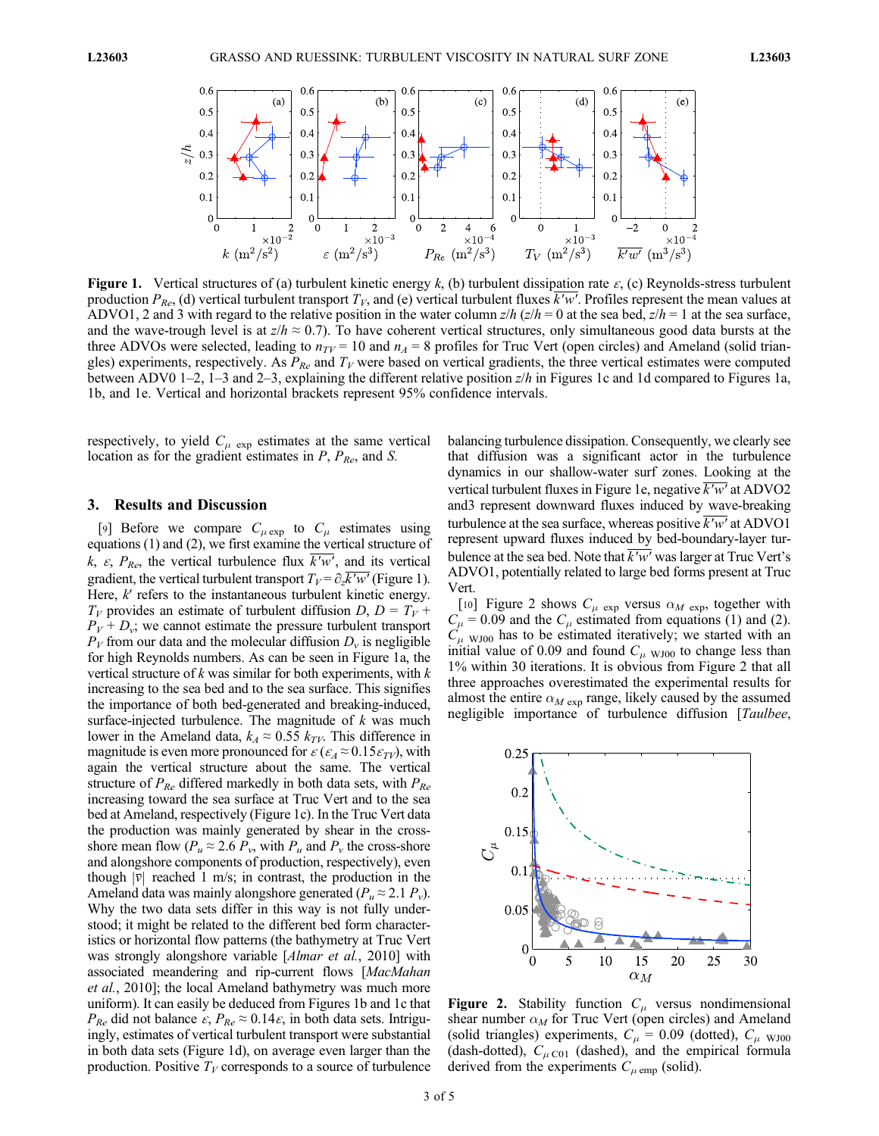

Figure 1. Vertical structures of (a) turbulent kinetic energy k, (b) turbulent dissipation rate  $\varepsilon$ , (c) Reynolds-stress turbulent production  $P_{Re}$ , (d) vertical turbulent transport  $T_V$ , and (e) vertical turbulent fluxes  $\overline{k'w'}$ . Profiles represent the mean values at ADVO1, 2 and 3 with regard to the relative position in the water column  $z/h(z/h = 0$  at the sea bed,  $z/h = 1$  at the sea surface, and the wave-trough level is at  $z/h \approx 0.7$ ). To have coherent vertical structures, only simultaneous good data bursts at the three ADVOs were selected, leading to  $n_{TV}$  = 10 and  $n_A$  = 8 profiles for Truc Vert (open circles) and Ameland (solid triangles) experiments, respectively. As  $P_{Re}$  and  $T_V$  were based on vertical gradients, the three vertical estimates were computed between ADV0 1–2, 1–3 and 2–3, explaining the different relative position  $z/h$  in Figures 1c and 1d compared to Figures 1a, 1b, and 1e. Vertical and horizontal brackets represent 95% confidence intervals.

respectively, to yield  $C_{\mu \text{ exp}}$  estimates at the same vertical location as for the gradient estimates in  $P$ ,  $P_{Re}$ , and S.

### 3. Results and Discussion

[9] Before we compare  $C_{\mu \text{ exp}}$  to  $C_{\mu}$  estimates using equations (1) and (2), we first examine the vertical structure of k,  $\varepsilon$ ,  $P_{Re}$ , the vertical turbulence flux  $\overline{k'w'}$ , and its vertical gradient, the vertical turbulent transport  $T_V = \partial_z k'w'$  (Figure 1). Here,  $k'$  refers to the instantaneous turbulent kinetic energy.  $T_V$  provides an estimate of turbulent diffusion  $D, D = T_V +$  $P_V + D_v$ ; we cannot estimate the pressure turbulent transport  $P_V$  from our data and the molecular diffusion  $D<sub>v</sub>$  is negligible for high Reynolds numbers. As can be seen in Figure 1a, the vertical structure of  $k$  was similar for both experiments, with  $k$ increasing to the sea bed and to the sea surface. This signifies the importance of both bed-generated and breaking-induced, surface-injected turbulence. The magnitude of  $k$  was much lower in the Ameland data,  $k_A \approx 0.55$   $k_{TV}$ . This difference in magnitude is even more pronounced for  $\varepsilon (\varepsilon_A \approx 0.15 \varepsilon_{TV})$ , with again the vertical structure about the same. The vertical structure of  $P_{Re}$  differed markedly in both data sets, with  $P_{Re}$ increasing toward the sea surface at Truc Vert and to the sea bed at Ameland, respectively (Figure 1c). In the Truc Vert data the production was mainly generated by shear in the crossshore mean flow ( $P_u \approx 2.6 P_v$ , with  $P_u$  and  $P_v$  the cross-shore and alongshore components of production, respectively), even though  $|\overline{v}|$  reached 1 m/s; in contrast, the production in the Ameland data was mainly alongshore generated  $(P_u \approx 2.1 P_v)$ . Why the two data sets differ in this way is not fully understood; it might be related to the different bed form characteristics or horizontal flow patterns (the bathymetry at Truc Vert was strongly alongshore variable [*Almar et al.*, 2010] with associated meandering and rip-current flows [MacMahan et al., 2010]; the local Ameland bathymetry was much more uniform). It can easily be deduced from Figures 1b and 1c that  $P_{Re}$  did not balance  $\varepsilon$ ,  $P_{Re} \approx 0.14 \varepsilon$ , in both data sets. Intriguingly, estimates of vertical turbulent transport were substantial in both data sets (Figure 1d), on average even larger than the production. Positive  $T_V$  corresponds to a source of turbulence

balancing turbulence dissipation. Consequently, we clearly see that diffusion was a significant actor in the turbulence dynamics in our shallow-water surf zones. Looking at the vertical turbulent fluxes in Figure 1e, negative  $\overline{k'w'}$  at ADVO2 and3 represent downward fluxes induced by wave-breaking turbulence at the sea surface, whereas positive  $\overline{k'w'}$  at ADVO1 represent upward fluxes induced by bed-boundary-layer turbulence at the sea bed. Note that  $k'w'$  was larger at Truc Vert's ADVO1, potentially related to large bed forms present at Truc Vert.

[10] Figure 2 shows  $C_{\mu}$  exp versus  $\alpha_M$  exp, together with  $C_{\mu}$  = 0.09 and the  $C_{\mu}$  estimated from equations (1) and (2).  $C_{\mu}$  w<sub>J00</sub> has to be estimated iteratively; we started with an initial value of 0.09 and found C, we to change less than initial value of 0.09 and found  $C_{\mu}$  <sub>WJ00</sub> to change less than 1% within 30 iterations. It is obvious from Figure 2 that all 1% within 30 iterations. It is obvious from Figure 2 that all three approaches overestimated the experimental results for almost the entire  $\alpha_{M \text{ exp}}$  range, likely caused by the assumed negligible importance of turbulence diffusion [Taulbee,



Figure 2. Stability function  $C_\mu$  versus nondimensional shear number  $\alpha_M$  for Truc Vert (open circles) and Ameland (solid triangles) experiments,  $C_{\mu} = 0.09$  (dotted),  $C_{\mu}$  wJ00 (dash-dotted),  $C_{\mu \text{CO1}}$  (dashed), and the empirical formula derived from the experiments  $C_{\mu \text{ emp}}$  (solid).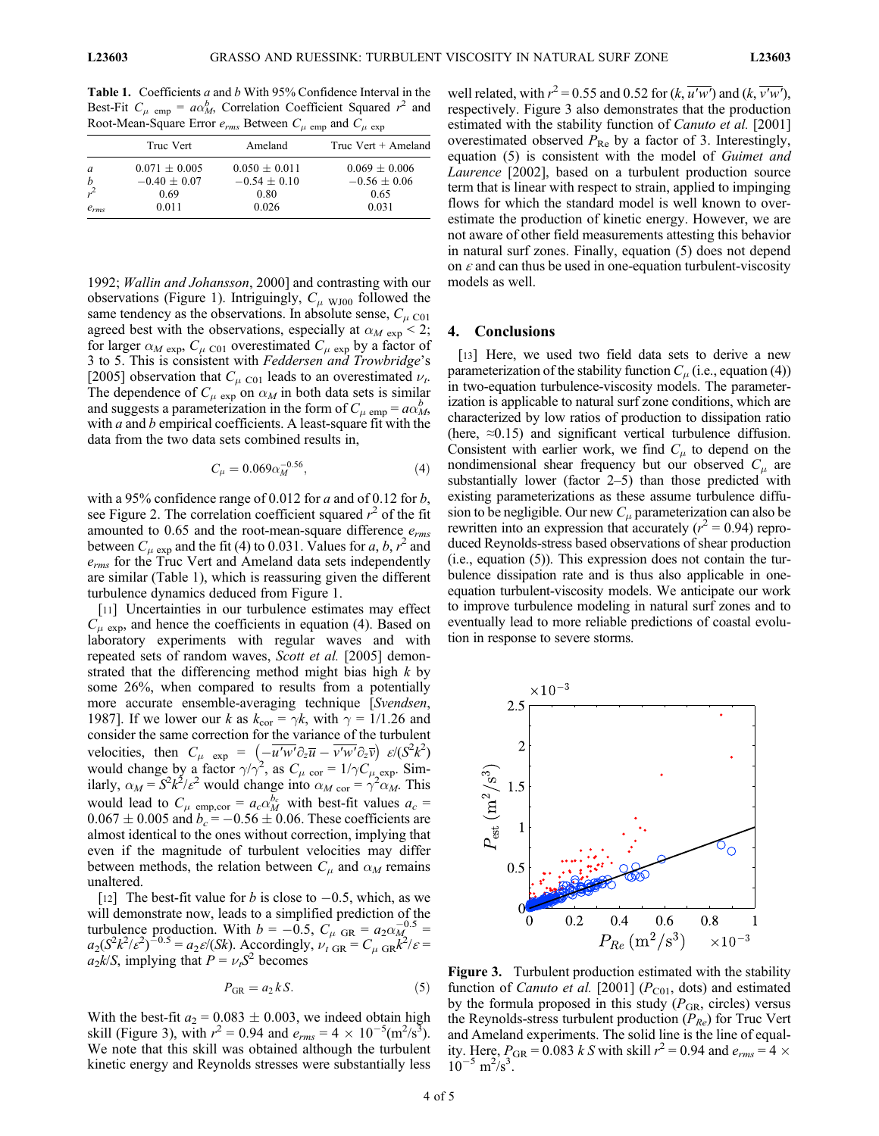Table 1. Coefficients  $a$  and  $b$  With 95% Confidence Interval in the Best-Fit  $C_{\mu \text{ emp}} = a\alpha_M^b$ , Correlation Coefficient Squared  $r^2$  and  $C$ Root-Mean-Square Error  $e_{rms}$  Between  $C_{\mu \text{ emp}}$  and  $C_{\mu \text{ exp}}$ 

|                  | Truc Vert         | Ameland           | Truc Vert + Ameland |
|------------------|-------------------|-------------------|---------------------|
| a                | $0.071 \pm 0.005$ | $0.050 \pm 0.011$ | $0.069 \pm 0.006$   |
| $\boldsymbol{b}$ | $-0.40 \pm 0.07$  | $-0.54 \pm 0.10$  | $-0.56 \pm 0.06$    |
| $r^2$            | 0.69              | 0.80              | 0.65                |
| $e_{rms}$        | 0.011             | 0.026             | 0.031               |

1992; Wallin and Johansson, 2000] and contrasting with our observations (Figure 1). Intriguingly,  $C_{\mu}$  <sub>WJ00</sub> followed the same tendency as the observations. In absolute sense,  $C_{\mu \text{CO1}}$ agreed best with the observations, especially at  $\alpha_M$  exp < 2; for larger  $\alpha_M$  exp,  $C_\mu$  co<sub>1</sub> overestimated  $C_\mu$  exp by a factor of 3 to 5. This is consistent with *Feddersen and Trowbridge's* [2005] observation that  $C_{\mu \text{CO1}}$  leads to an overestimated  $\nu_t$ . The dependence of  $C_{\mu \exp}$  on  $\alpha_M$  in both data sets is similar and suggests a parameterization in the form of  $C_{\mu}$  emp =  $a\alpha_M^b$ , with a and b empirical coefficients. A least-square fit with the with  $a$  and  $b$  empirical coefficients. A least-square fit with the data from the two data sets combined results in,

$$
C_{\mu} = 0.069 \alpha_M^{-0.56},\tag{4}
$$

with a 95% confidence range of 0.012 for a and of 0.12 for b, see Figure 2. The correlation coefficient squared  $r^2$  of the fit amounted to 0.65 and the root-mean-square difference  $e_{rms}$ between  $C_{\mu}$  exp and the fit (4) to 0.031. Values for a, b,  $r^2$  and  $e_{rms}$  for the Truc Vert and Ameland data sets independently are similar (Table 1), which is reassuring given the different turbulence dynamics deduced from Figure 1.

[11] Uncertainties in our turbulence estimates may effect  $C_{\mu \text{ exp}}$ , and hence the coefficients in equation (4). Based on laboratory experiments with regular waves and with repeated sets of random waves, Scott et al. [2005] demonstrated that the differencing method might bias high  $k$  by some 26%, when compared to results from a potentially more accurate ensemble-averaging technique [Svendsen, 1987]. If we lower our k as  $k_{\text{cor}} = \gamma k$ , with  $\gamma = 1/1.26$  and consider the same correction for the variance of the turbulent velocities, then  $C_{\mu \text{ exp}} = \left(-\overline{u'w'}\partial_z\overline{u} - \overline{v'w'}\partial_z\overline{v}\right) \varepsilon/(S^2k^2)$ <br>would change by a factor  $\gamma/2^2$  as  $C = 1/\gamma C$ . Sim would change by a factor  $\gamma/\gamma^2$ , as  $C_{\mu \text{ cor}} = 1/\gamma C_{\mu \text{ exp}}$ . Similarly  $Q_{\mu} = S^2 k^2/\epsilon^2$  would change into  $Q_{\mu} = \gamma^2 Q_{\mu}$ . This ilarly,  $\alpha_M = S^2 k^2 / \varepsilon^2$  would change into  $\alpha_M$  <sub>cor</sub> =  $\gamma^2 \alpha_M$ . This would lead to  $C_{\mu \text{ emp,cor}} = a_c \alpha_M^{b_c}$  with best-fit values  $a_c = 0.067 \pm 0.005$  and  $b = -0.56 \pm 0.06$ . These coefficients are  $0.067 \pm 0.005$  and  $b_c = -0.56 \pm 0.06$ . These coefficients are almost identical to the ones without correction, implying that even if the magnitude of turbulent velocities may differ between methods, the relation between  $C_{\mu}$  and  $\alpha_M$  remains unaltered.

[12] The best-fit value for b is close to  $-0.5$ , which, as we will demonstrate now, leads to a simplified prediction of the turbulence production. With  $b = -0.5$ ,  $C_{\mu}$  GR =  $a_2 \alpha_M^{-0.5} = a_0 S^2 k^2 / \epsilon^2$  =  $a_2 \epsilon / (Sk)$  Accordingly  $\nu_{\mu}$  GR =  $C_{\mu} \alpha k^2 / \epsilon$  =  $a_2(S^2k^2/\varepsilon^2)^{-0.5} = a_2\varepsilon/(Sk)$ . Accordingly,  $\nu_t$  GR  $= C_\mu$  GR $k^2/\varepsilon = a_2k/S$  implying that  $P = \nu_s S^2$  becomes  $a_2k/S$ , implying that  $P = \nu_t S^2$  becomes

$$
P_{\rm GR} = a_2 k \, S. \tag{5}
$$

With the best-fit  $a_2 = 0.083 \pm 0.003$ , we indeed obtain high skill (Figure 3), with  $r^2 = 0.94$  and  $e_{rms} = 4 \times 10^{-5} (m^2/s^3)$ . We note that this skill was obtained although the turbulent kinetic energy and Reynolds stresses were substantially less

well related, with  $r^2 = 0.55$  and 0.52 for  $(k, \overline{u'w'})$  and  $(k, \overline{v'w'})$ , respectively. Figure 3 also demonstrates that the production estimated with the stability function of *Canuto et al.* [2001] overestimated observed  $P_{\text{Re}}$  by a factor of 3. Interestingly, equation (5) is consistent with the model of Guimet and Laurence [2002], based on a turbulent production source term that is linear with respect to strain, applied to impinging flows for which the standard model is well known to overestimate the production of kinetic energy. However, we are not aware of other field measurements attesting this behavior in natural surf zones. Finally, equation (5) does not depend on  $\varepsilon$  and can thus be used in one-equation turbulent-viscosity models as well.

### 4. Conclusions

[13] Here, we used two field data sets to derive a new parameterization of the stability function  $C_\mu$  (i.e., equation (4)) in two-equation turbulence-viscosity models. The parameterization is applicable to natural surf zone conditions, which are characterized by low ratios of production to dissipation ratio (here,  $\approx 0.15$ ) and significant vertical turbulence diffusion. Consistent with earlier work, we find  $C_\mu$  to depend on the nondimensional shear frequency but our observed  $C_{\mu}$  are substantially lower (factor 2–5) than those predicted with existing parameterizations as these assume turbulence diffusion to be negligible. Our new  $C_{\mu}$  parameterization can also be rewritten into an expression that accurately ( $r^2 = 0.94$ ) reproduced Reynolds-stress based observations of shear production (i.e., equation (5)). This expression does not contain the turbulence dissipation rate and is thus also applicable in oneequation turbulent-viscosity models. We anticipate our work to improve turbulence modeling in natural surf zones and to eventually lead to more reliable predictions of coastal evolution in response to severe storms.



Figure 3. Turbulent production estimated with the stability function of *Canuto et al.* [2001] ( $P_{C01}$ , dots) and estimated by the formula proposed in this study  $(P_{GR}, \text{circles})$  versus the Reynolds-stress turbulent production  $(P_{Re})$  for Truc Vert and Ameland experiments. The solid line is the line of equality. Here,  $P_{GR} = 0.083 k S$  with skill  $r^2 = 0.94$  and  $e_{rms} = 4 \times 10^{-5}$  $10^{-5}$  m<sup>2</sup>/s<sup>3</sup>.